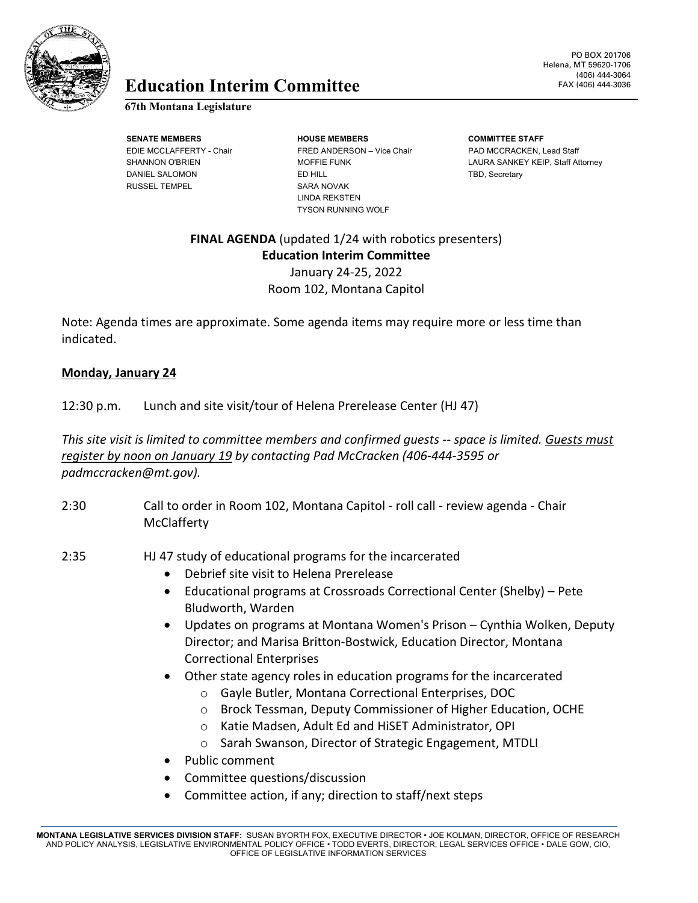

# **Education** FAX (406) 444-3036 **Interim Committee**

### **67th Montana Legislature**

RUSSEL TEMPEL SARA NOVAK

**SENATE MEMBERS HOUSE MEMBERS COMMITTEE STAFF** EDIE MCCLAFFERTY - Chair FRED ANDERSON – Vice Chair PAD MCCRACKEN, Lead Staff DANIEL SALOMON **ED HILL ED HILL ED HILL TBD, Secretary** LINDA REKSTEN TYSON RUNNING WOLF

PO BOX 201706 Helena, MT 59620-1706 (406) 444-3064

SHANNON O'BRIEN MOFFIE FUNK LAURA SANKEY KEIP, Staff Attorney

## **FINAL AGENDA** (updated 1/24 with robotics presenters) **Education Interim Committee** January 24-25, 2022 Room 102, Montana Capitol

Note: Agenda times are approximate. Some agenda items may require more or less time than indicated.

### **Monday, January 24**

12:30 p.m. Lunch and site visit/tour of Helena Prerelease Center (HJ 47)

*This site visit is limited to committee members and confirmed guests -- space is limited. Guests must register by noon on January 19 by contacting Pad McCracken (406-444-3595 or padmccracken@mt.gov).*

- 2:30 Call to order in Room 102, Montana Capitol roll call review agenda Chair **McClafferty**
- 2:35 HJ 47 study of educational programs for the incarcerated
	- Debrief site visit to Helena Prerelease
	- Educational programs at Crossroads Correctional Center (Shelby) Pete Bludworth, Warden
	- Updates on programs at Montana Women's Prison Cynthia Wolken, Deputy Director; and Marisa Britton-Bostwick, Education Director, Montana Correctional Enterprises
	- Other state agency roles in education programs for the incarcerated
		- o Gayle Butler, Montana Correctional Enterprises, DOC
		- o Brock Tessman, Deputy Commissioner of Higher Education, OCHE
		- o Katie Madsen, Adult Ed and HiSET Administrator, OPI
		- o Sarah Swanson, Director of Strategic Engagement, MTDLI
	- Public comment
	- Committee questions/discussion
	- Committee action, if any; direction to staff/next steps

**MONTANA LEGISLATIVE SERVICES DIVISION STAFF:** SUSAN BYORTH FOX, EXECUTIVE DIRECTOR • JOE KOLMAN, DIRECTOR, OFFICE OF RESEARCH AND POLICY ANALYSIS, LEGISLATIVE ENVIRONMENTAL POLICY OFFICE • TODD EVERTS, DIRECTOR, LEGAL SERVICES OFFICE • DALE GOW, CIO, OFFICE OF LEGISLATIVE INFORMATION SERVICES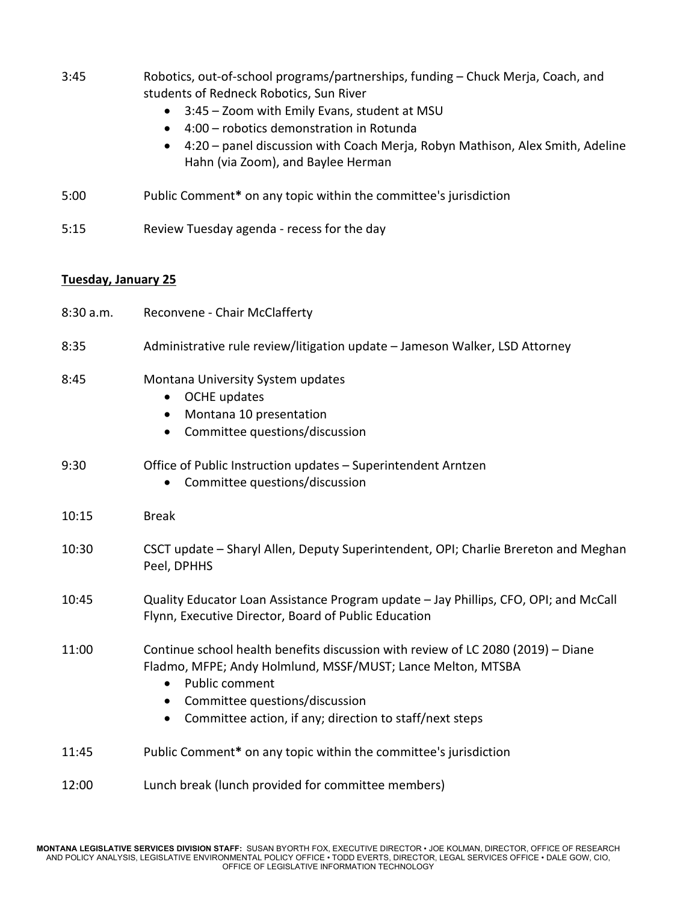| 3:45                | Robotics, out-of-school programs/partnerships, funding - Chuck Merja, Coach, and<br>students of Redneck Robotics, Sun River<br>3:45 - Zoom with Emily Evans, student at MSU<br>$\bullet$<br>4:00 - robotics demonstration in Rotunda<br>$\bullet$<br>4:20 - panel discussion with Coach Merja, Robyn Mathison, Alex Smith, Adeline<br>Hahn (via Zoom), and Baylee Herman |
|---------------------|--------------------------------------------------------------------------------------------------------------------------------------------------------------------------------------------------------------------------------------------------------------------------------------------------------------------------------------------------------------------------|
| 5:00                | Public Comment* on any topic within the committee's jurisdiction                                                                                                                                                                                                                                                                                                         |
| 5:15                | Review Tuesday agenda - recess for the day                                                                                                                                                                                                                                                                                                                               |
| Tuesday, January 25 |                                                                                                                                                                                                                                                                                                                                                                          |
| 8:30 a.m.           | Reconvene - Chair McClafferty                                                                                                                                                                                                                                                                                                                                            |
| 8:35                | Administrative rule review/litigation update - Jameson Walker, LSD Attorney                                                                                                                                                                                                                                                                                              |
| 8:45                | Montana University System updates<br>OCHE updates<br>$\bullet$<br>Montana 10 presentation<br>$\bullet$<br>Committee questions/discussion<br>$\bullet$                                                                                                                                                                                                                    |
| 9:30                | Office of Public Instruction updates - Superintendent Arntzen<br>Committee questions/discussion                                                                                                                                                                                                                                                                          |
| 10:15               | <b>Break</b>                                                                                                                                                                                                                                                                                                                                                             |
| 10:30               | CSCT update - Sharyl Allen, Deputy Superintendent, OPI; Charlie Brereton and Meghan<br>Peel, DPHHS                                                                                                                                                                                                                                                                       |
| 10:45               | Quality Educator Loan Assistance Program update - Jay Phillips, CFO, OPI; and McCall<br>Flynn, Executive Director, Board of Public Education                                                                                                                                                                                                                             |
| 11:00               | Continue school health benefits discussion with review of LC 2080 (2019) - Diane<br>Fladmo, MFPE; Andy Holmlund, MSSF/MUST; Lance Melton, MTSBA<br>Public comment<br>$\bullet$<br>Committee questions/discussion<br>$\bullet$<br>Committee action, if any; direction to staff/next steps<br>$\bullet$                                                                    |
| 11:45               | Public Comment* on any topic within the committee's jurisdiction                                                                                                                                                                                                                                                                                                         |
| 12:00               | Lunch break (lunch provided for committee members)                                                                                                                                                                                                                                                                                                                       |